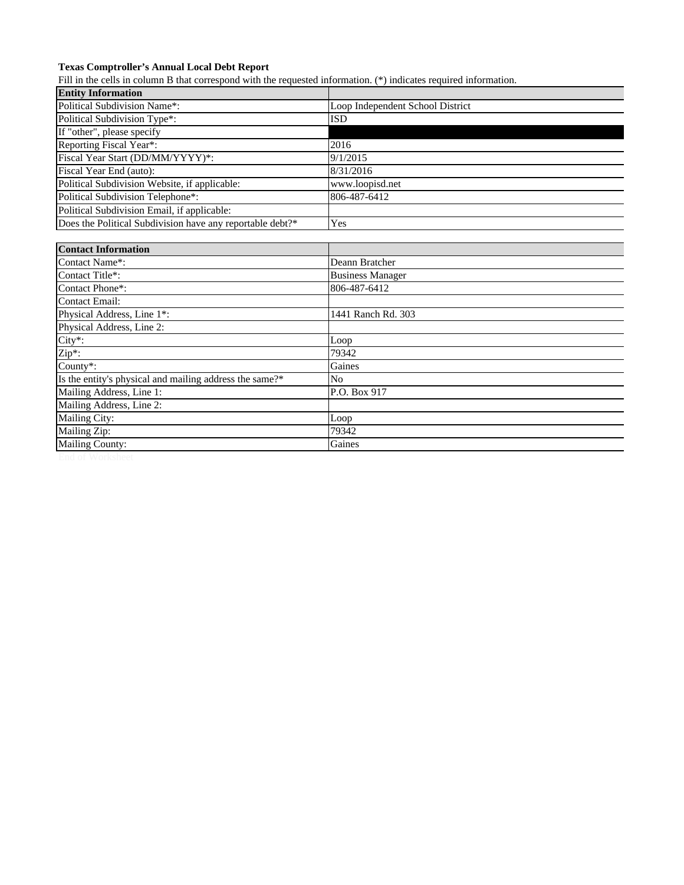## **Texas Comptroller's Annual Local Debt Report**

Fill in the cells in column B that correspond with the requested information. (\*) indicates required information.

| <b>Entity Information</b>                                 |                                  |
|-----------------------------------------------------------|----------------------------------|
| Political Subdivision Name*:                              | Loop Independent School District |
| Political Subdivision Type*:                              | <b>ISD</b>                       |
| If "other", please specify                                |                                  |
| Reporting Fiscal Year*:                                   | 2016                             |
| Fiscal Year Start (DD/MM/YYYY)*:                          | 9/1/2015                         |
| Fiscal Year End (auto):                                   | 8/31/2016                        |
| Political Subdivision Website, if applicable:             | www.loopisd.net                  |
| Political Subdivision Telephone*:                         | 806-487-6412                     |
| Political Subdivision Email, if applicable:               |                                  |
| Does the Political Subdivision have any reportable debt?* | Yes                              |
|                                                           |                                  |
| <b>Contact Information</b>                                |                                  |
| Contact Name*:                                            | Deann Bratcher                   |
| Contact Title*:                                           | <b>Business Manager</b>          |
| Contact Phone*:                                           | 806-487-6412                     |
| Contact Email:                                            |                                  |
| Physical Address, Line 1*:                                | 1441 Ranch Rd. 303               |
| Physical Address, Line 2:                                 |                                  |
| City*:                                                    | Loop                             |
| Zip*:                                                     | 79342                            |
| County*:                                                  | Gaines                           |
| Is the entity's physical and mailing address the same?*   | No                               |
| Mailing Address, Line 1:                                  | P.O. Box 917                     |
| Mailing Address, Line 2:                                  |                                  |
| Mailing City:                                             | Loop                             |
| Mailing Zip:                                              | 79342                            |
| <b>Mailing County:</b>                                    | Gaines                           |
|                                                           |                                  |

End of Worksheet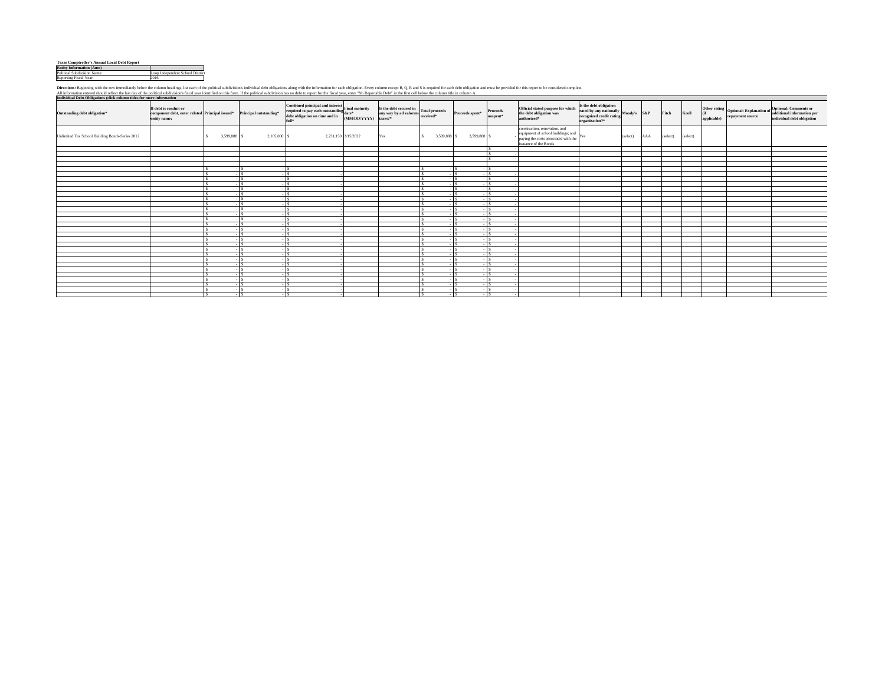| <b>Texas Comptroller's Annual Local Debt Report</b> |                                  |
|-----------------------------------------------------|----------------------------------|
| <b>Entity Information (Auto)</b>                    |                                  |
| Political Subdivision Name:                         | Loop Independent School District |
| Reporting Fiscal Year:                              | 2016                             |

Directions: Beginning with the own images allow the column healings, list each of the political subdivisions infividual deb obligations hange with the information for each being one of the political subdivision is to polit

| Individual Debt Obligations (click column titles for more information |                                                                                                                 |                   |                |                                                                                                                                                                                                                                                                                                                                                        |     |             |                             |                               |                                                                                                                                                   |                                                                                                                                                                                          |          |     |          |          |             |                  |                                                                                                                                                                                         |
|-----------------------------------------------------------------------|-----------------------------------------------------------------------------------------------------------------|-------------------|----------------|--------------------------------------------------------------------------------------------------------------------------------------------------------------------------------------------------------------------------------------------------------------------------------------------------------------------------------------------------------|-----|-------------|-----------------------------|-------------------------------|---------------------------------------------------------------------------------------------------------------------------------------------------|------------------------------------------------------------------------------------------------------------------------------------------------------------------------------------------|----------|-----|----------|----------|-------------|------------------|-----------------------------------------------------------------------------------------------------------------------------------------------------------------------------------------|
| Outstanding debt obligation*                                          | If debt is conduit or<br>component debt, enter related Principal issued* Principal outstanding*<br>entity name: |                   |                | Combined principal and interest $\begin{bmatrix} \text{train matrix} \\ \text{final matrix} \end{bmatrix}$<br>Its the debt secured in Total proceeds required to pay each outstanding<br>$\begin{bmatrix} \text{data}^+ \\ \text{data}^+ \end{bmatrix}$<br>$\begin{bmatrix} \text{test}^+ \\ \text{any way by ad valorem} \end{bmatrix}$ received<br>* |     |             | Proceeds spent <sup>®</sup> | <b>Proceeds</b><br>$unspent*$ | Official stated purpose for which<br>the debt obligation was<br>authorized*                                                                       | Is the debt obligation<br>rated by any nationally $\begin{array}{ l } \text{Mody's} & \text{S\&P} \\ \text{recompized credit rating} & \text{Mody's} \\ \text{organization?}\end{array}$ |          |     | Fitch    | Kroll    | applicable) | repayment source | Other rating<br>Optional: Explanation of<br>optional: Comments or<br>dditional information per<br>of<br>additional information per<br>of<br>$\frac{1}{2}$<br>individual debt obligation |
| Unlimited Tax School Building Bonds-Series 2012                       |                                                                                                                 | 3,599,888 S<br>s. | 2,105,000 \$   | 2,231,150 2/15/2022                                                                                                                                                                                                                                                                                                                                    | Yes | 3,599,888 S | 3,599,888 \$                |                               | construction, renovation, and<br>equipment of school buildings; and $$\,{\rm Yes}$$ paying the costs associated with the<br>issuance of the Bonds |                                                                                                                                                                                          | (select) | AAA | (select) | (select) |             |                  |                                                                                                                                                                                         |
|                                                                       |                                                                                                                 |                   |                |                                                                                                                                                                                                                                                                                                                                                        |     |             |                             |                               |                                                                                                                                                   |                                                                                                                                                                                          |          |     |          |          |             |                  |                                                                                                                                                                                         |
|                                                                       |                                                                                                                 |                   |                |                                                                                                                                                                                                                                                                                                                                                        |     |             |                             |                               |                                                                                                                                                   |                                                                                                                                                                                          |          |     |          |          |             |                  |                                                                                                                                                                                         |
|                                                                       |                                                                                                                 |                   |                |                                                                                                                                                                                                                                                                                                                                                        |     |             |                             |                               |                                                                                                                                                   |                                                                                                                                                                                          |          |     |          |          |             |                  |                                                                                                                                                                                         |
|                                                                       |                                                                                                                 |                   |                |                                                                                                                                                                                                                                                                                                                                                        |     |             |                             |                               |                                                                                                                                                   |                                                                                                                                                                                          |          |     |          |          |             |                  |                                                                                                                                                                                         |
|                                                                       |                                                                                                                 |                   | $-1s$          |                                                                                                                                                                                                                                                                                                                                                        |     |             |                             | 1s.                           |                                                                                                                                                   |                                                                                                                                                                                          |          |     |          |          |             |                  |                                                                                                                                                                                         |
|                                                                       |                                                                                                                 |                   | $-1s$          |                                                                                                                                                                                                                                                                                                                                                        |     |             |                             | I۹                            |                                                                                                                                                   |                                                                                                                                                                                          |          |     |          |          |             |                  |                                                                                                                                                                                         |
|                                                                       |                                                                                                                 |                   | $-1s$<br>$-1s$ |                                                                                                                                                                                                                                                                                                                                                        |     |             |                             | ١¢<br>$\sim$                  |                                                                                                                                                   |                                                                                                                                                                                          |          |     |          |          |             |                  |                                                                                                                                                                                         |
|                                                                       |                                                                                                                 |                   | $-1s$          | $-1S$                                                                                                                                                                                                                                                                                                                                                  |     |             | $-1s$                       | $\sim$                        |                                                                                                                                                   |                                                                                                                                                                                          |          |     |          |          |             |                  |                                                                                                                                                                                         |
|                                                                       |                                                                                                                 |                   | $-1s$          | $-1s$                                                                                                                                                                                                                                                                                                                                                  |     | $-18$       |                             | 1s.                           |                                                                                                                                                   |                                                                                                                                                                                          |          |     |          |          |             |                  |                                                                                                                                                                                         |
|                                                                       |                                                                                                                 |                   | $-1s$          | $-1S$                                                                                                                                                                                                                                                                                                                                                  |     |             |                             | ١¢                            |                                                                                                                                                   |                                                                                                                                                                                          |          |     |          |          |             |                  |                                                                                                                                                                                         |
|                                                                       |                                                                                                                 |                   | - I s          |                                                                                                                                                                                                                                                                                                                                                        |     |             |                             | ١¢                            |                                                                                                                                                   |                                                                                                                                                                                          |          |     |          |          |             |                  |                                                                                                                                                                                         |
|                                                                       |                                                                                                                 |                   | $-1s$          |                                                                                                                                                                                                                                                                                                                                                        |     |             |                             | I۹                            |                                                                                                                                                   |                                                                                                                                                                                          |          |     |          |          |             |                  |                                                                                                                                                                                         |
|                                                                       |                                                                                                                 |                   | $-1s$          |                                                                                                                                                                                                                                                                                                                                                        |     |             |                             | I۹                            |                                                                                                                                                   |                                                                                                                                                                                          |          |     |          |          |             |                  |                                                                                                                                                                                         |
|                                                                       |                                                                                                                 |                   | $-$ S          | $\overline{\phantom{a}}$                                                                                                                                                                                                                                                                                                                               |     |             |                             | $\sim$                        |                                                                                                                                                   |                                                                                                                                                                                          |          |     |          |          |             |                  |                                                                                                                                                                                         |
|                                                                       |                                                                                                                 |                   | $-1S$          | l s                                                                                                                                                                                                                                                                                                                                                    |     |             |                             | $\sim$                        |                                                                                                                                                   |                                                                                                                                                                                          |          |     |          |          |             |                  |                                                                                                                                                                                         |
|                                                                       |                                                                                                                 |                   | $-1s$          | . IS.                                                                                                                                                                                                                                                                                                                                                  |     |             |                             | ΙSΞ                           |                                                                                                                                                   |                                                                                                                                                                                          |          |     |          |          |             |                  |                                                                                                                                                                                         |
|                                                                       |                                                                                                                 |                   | $-$ S          | $-1S$                                                                                                                                                                                                                                                                                                                                                  |     |             |                             | 1s.                           |                                                                                                                                                   |                                                                                                                                                                                          |          |     |          |          |             |                  |                                                                                                                                                                                         |
|                                                                       |                                                                                                                 |                   | $-$ S          | $\overline{1}$                                                                                                                                                                                                                                                                                                                                         |     |             |                             | Ιs                            |                                                                                                                                                   |                                                                                                                                                                                          |          |     |          |          |             |                  |                                                                                                                                                                                         |
|                                                                       |                                                                                                                 |                   | $-1s$          | Ιs                                                                                                                                                                                                                                                                                                                                                     |     |             | $\sim$                      | 1s.                           |                                                                                                                                                   |                                                                                                                                                                                          |          |     |          |          |             |                  |                                                                                                                                                                                         |
|                                                                       |                                                                                                                 |                   | $-1S$          | . I s                                                                                                                                                                                                                                                                                                                                                  |     |             |                             | ١¢                            |                                                                                                                                                   |                                                                                                                                                                                          |          |     |          |          |             |                  |                                                                                                                                                                                         |
|                                                                       |                                                                                                                 |                   | $-1s$          | $-1S$                                                                                                                                                                                                                                                                                                                                                  |     | $-1s$       |                             | 1s.                           |                                                                                                                                                   |                                                                                                                                                                                          |          |     |          |          |             |                  |                                                                                                                                                                                         |
|                                                                       |                                                                                                                 |                   | $-1s$          | ΙSΙ                                                                                                                                                                                                                                                                                                                                                    |     |             |                             | l s                           |                                                                                                                                                   |                                                                                                                                                                                          |          |     |          |          |             |                  |                                                                                                                                                                                         |
|                                                                       |                                                                                                                 |                   | $-1S$          | $\mathbf{S}$                                                                                                                                                                                                                                                                                                                                           |     |             |                             | l s                           |                                                                                                                                                   |                                                                                                                                                                                          |          |     |          |          |             |                  |                                                                                                                                                                                         |
|                                                                       |                                                                                                                 |                   | $-1s$          | - IS-                                                                                                                                                                                                                                                                                                                                                  |     |             |                             | ١s                            |                                                                                                                                                   |                                                                                                                                                                                          |          |     |          |          |             |                  |                                                                                                                                                                                         |
|                                                                       |                                                                                                                 |                   | $-$ S          | $\sim$ S                                                                                                                                                                                                                                                                                                                                               |     |             |                             | l٤                            |                                                                                                                                                   |                                                                                                                                                                                          |          |     |          |          |             |                  |                                                                                                                                                                                         |
|                                                                       |                                                                                                                 |                   | $-1s$          | l s                                                                                                                                                                                                                                                                                                                                                    |     |             |                             | ١¢                            |                                                                                                                                                   |                                                                                                                                                                                          |          |     |          |          |             |                  |                                                                                                                                                                                         |
|                                                                       |                                                                                                                 | $\epsilon$        | $-1S$          | - IS.                                                                                                                                                                                                                                                                                                                                                  |     |             | $\sim$                      | ١¢                            |                                                                                                                                                   |                                                                                                                                                                                          |          |     |          |          |             |                  |                                                                                                                                                                                         |
|                                                                       |                                                                                                                 | $\epsilon$        | $-1s$          | $-1s$                                                                                                                                                                                                                                                                                                                                                  |     | $-1S$       |                             | $-15$                         |                                                                                                                                                   |                                                                                                                                                                                          |          |     |          |          |             |                  |                                                                                                                                                                                         |
|                                                                       |                                                                                                                 |                   | $-1s$          | - IS                                                                                                                                                                                                                                                                                                                                                   |     |             |                             | l s                           |                                                                                                                                                   |                                                                                                                                                                                          |          |     |          |          |             |                  |                                                                                                                                                                                         |
|                                                                       |                                                                                                                 |                   |                |                                                                                                                                                                                                                                                                                                                                                        |     |             |                             |                               |                                                                                                                                                   |                                                                                                                                                                                          |          |     |          |          |             |                  |                                                                                                                                                                                         |